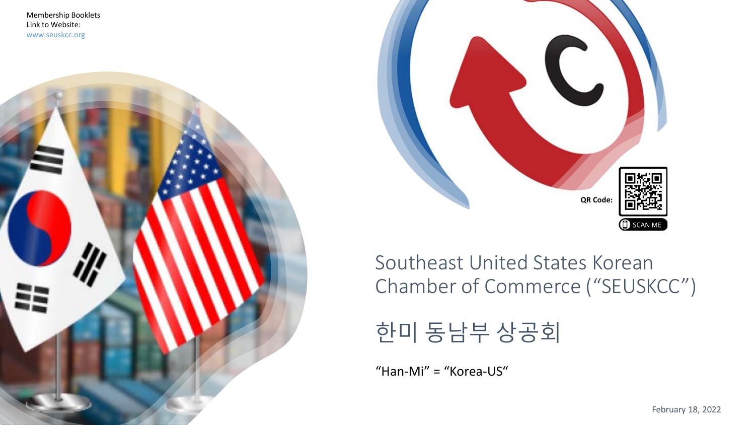Membership Booklets Link to Website: www.seuskcc.org





Southeast United States Korean Chamber of Commerce ("SEUSKCC")



"Han-Mi" = "Korea-US"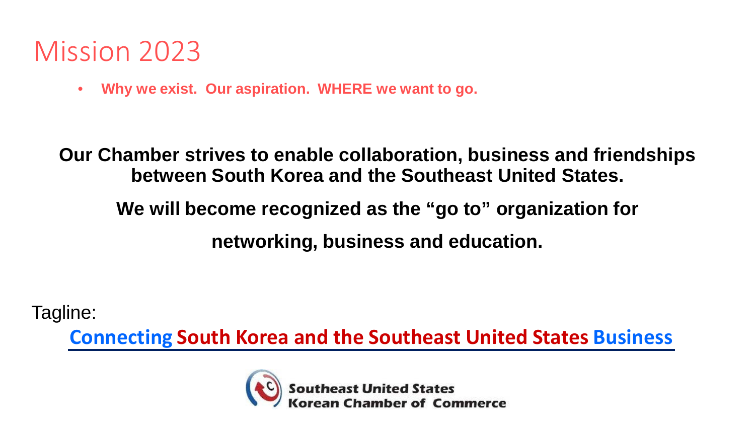## Mission 2023

• **Why we exist. Our aspiration. WHERE we want to go.** 

**Our Chamber strives to enable collaboration, business and friendships between South Korea and the Southeast United States.** 

## **We will become recognized as the "go to" organization for networking, business and education.**

Tagline:

**Connecting South Korea and the Southeast United States Business**

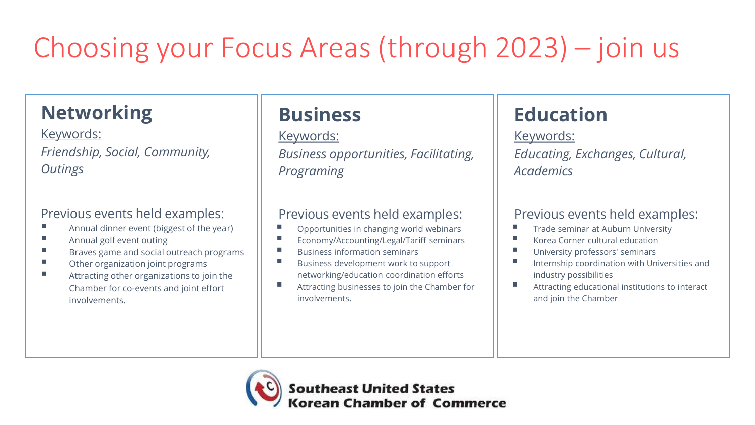# Choosing your Focus Areas (through 2023) – join us

## **Networking**

Keywords: *Friendship, Social, Community, Outings* 

#### Previous events held examples:

- Annual dinner event (biggest of the year)
- **Annual golf event outing**
- **Braves game and social outreach programs**
- Other organization joint programs
- **Attracting other organizations to join the** Chamber for co-events and joint effort involvements.

## **Business**

#### Keywords: *Business opportunities, Facilitating, Programing*

#### Previous events held examples:

- Opportunities in changing world webinars
- **Economy/Accounting/Legal/Tariff seminars**
- $\blacksquare$  Business information seminars
- Business development work to support networking/education coordination efforts
- Attracting businesses to join the Chamber for involvements.

## **Education**

Keywords: *Educating, Exchanges, Cultural, Academics*

#### Previous events held examples:

- Trade seminar at Auburn University
- Korea Corner cultural education
- University professors' seminars
- Internship coordination with Universities and industry possibilities
- Attracting educational institutions to interact and join the Chamber

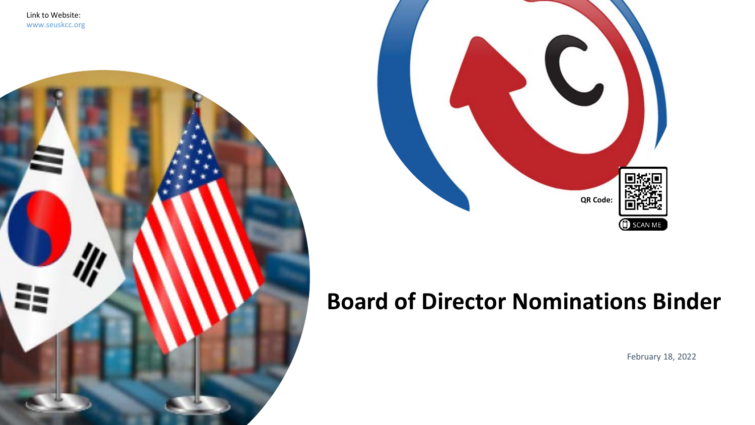



## **Board of Director Nominations Binder**

February 18, 2022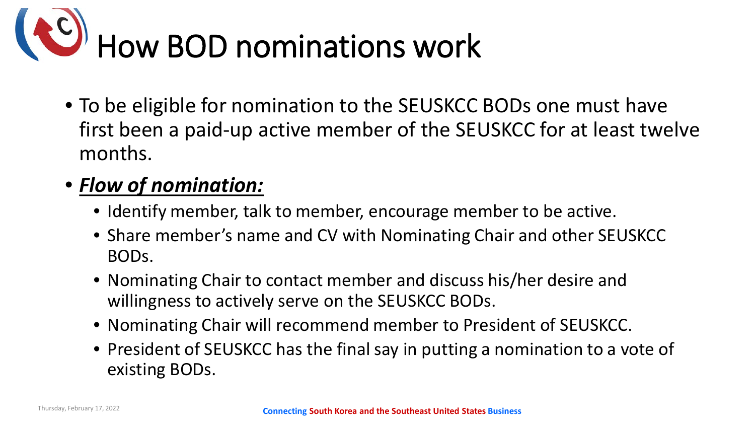

• To be eligible for nomination to the SEUSKCC BODs one must have first been a paid-up active member of the SEUSKCC for at least twelve months.

### • *Flow of nomination:*

- Identify member, talk to member, encourage member to be active.
- Share member's name and CV with Nominating Chair and other SEUSKCC BODs.
- Nominating Chair to contact member and discuss his/her desire and willingness to actively serve on the SEUSKCC BODs.
- Nominating Chair will recommend member to President of SEUSKCC.
- President of SEUSKCC has the final say in putting a nomination to a vote of existing BODs.